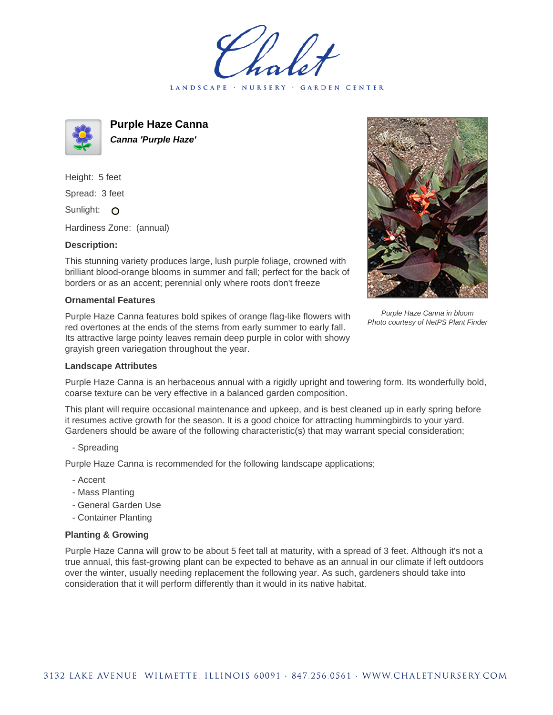LANDSCAPE · NURSERY · GARDEN CENTER



**Purple Haze Canna Canna 'Purple Haze'**

Height: 5 feet Spread: 3 feet Sunlight: O

Hardiness Zone: (annual)

## **Description:**

This stunning variety produces large, lush purple foliage, crowned with brilliant blood-orange blooms in summer and fall; perfect for the back of borders or as an accent; perennial only where roots don't freeze

## **Ornamental Features**

Purple Haze Canna features bold spikes of orange flag-like flowers with red overtones at the ends of the stems from early summer to early fall. Its attractive large pointy leaves remain deep purple in color with showy grayish green variegation throughout the year.

## **Landscape Attributes**

Purple Haze Canna in bloom Photo courtesy of NetPS Plant Finder

Purple Haze Canna is an herbaceous annual with a rigidly upright and towering form. Its wonderfully bold, coarse texture can be very effective in a balanced garden composition.

This plant will require occasional maintenance and upkeep, and is best cleaned up in early spring before it resumes active growth for the season. It is a good choice for attracting hummingbirds to your yard. Gardeners should be aware of the following characteristic(s) that may warrant special consideration;

- Spreading

Purple Haze Canna is recommended for the following landscape applications;

- Accent
- Mass Planting
- General Garden Use
- Container Planting

## **Planting & Growing**

Purple Haze Canna will grow to be about 5 feet tall at maturity, with a spread of 3 feet. Although it's not a true annual, this fast-growing plant can be expected to behave as an annual in our climate if left outdoors over the winter, usually needing replacement the following year. As such, gardeners should take into consideration that it will perform differently than it would in its native habitat.